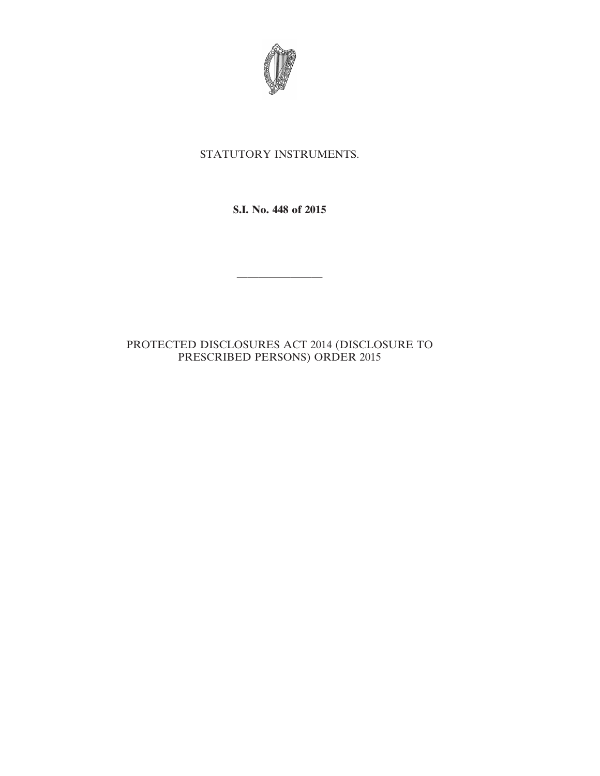

## STATUTORY INSTRUMENTS.

**S.I. No. 448 of 2015**

————————

## PROTECTED DISCLOSURES ACT 2014 (DISCLOSURE TO PRESCRIBED PERSONS) ORDER 2015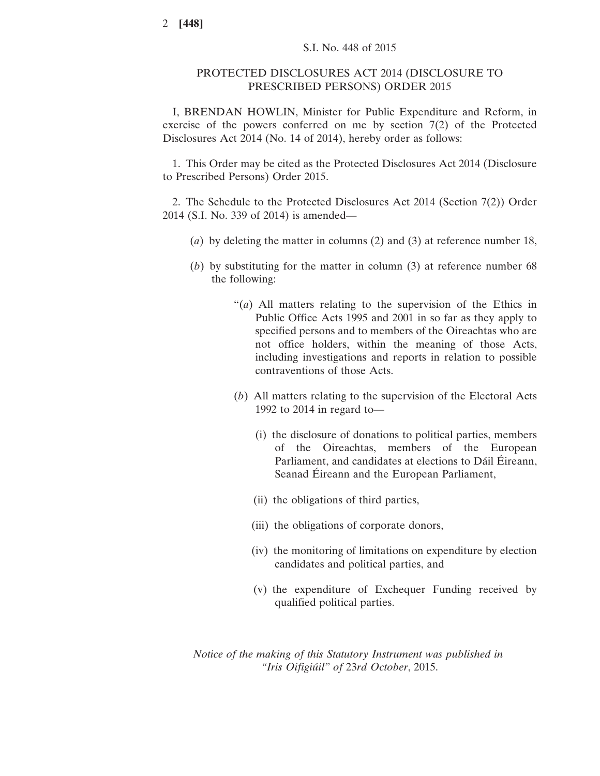## PROTECTED DISCLOSURES ACT 2014 (DISCLOSURE TO PRESCRIBED PERSONS) ORDER 2015

I, BRENDAN HOWLIN, Minister for Public Expenditure and Reform, in exercise of the powers conferred on me by section 7(2) of the Protected Disclosures Act 2014 (No. 14 of 2014), hereby order as follows:

1. This Order may be cited as the Protected Disclosures Act 2014 (Disclosure to Prescribed Persons) Order 2015.

2. The Schedule to the Protected Disclosures Act 2014 (Section 7(2)) Order 2014 (S.I. No. 339 of 2014) is amended—

- (*a*) by deleting the matter in columns (2) and (3) at reference number 18,
- (*b*) by substituting for the matter in column (3) at reference number 68 the following:
	- "(*a*) All matters relating to the supervision of the Ethics in Public Office Acts 1995 and 2001 in so far as they apply to specified persons and to members of the Oireachtas who are not office holders, within the meaning of those Acts, including investigations and reports in relation to possible contraventions of those Acts.
	- (*b*) All matters relating to the supervision of the Electoral Acts 1992 to 2014 in regard to—
		- (i) the disclosure of donations to political parties, members of the Oireachtas, members of the European Parliament, and candidates at elections to Dáil Éireann, Seanad Éireann and the European Parliament,
		- (ii) the obligations of third parties,
		- (iii) the obligations of corporate donors,
		- (iv) the monitoring of limitations on expenditure by election candidates and political parties, and
		- (v) the expenditure of Exchequer Funding received by qualified political parties.

*Notice of the making of this Statutory Instrument was published in "Iris Oifigiúil" of* 23*rd October*, 2015.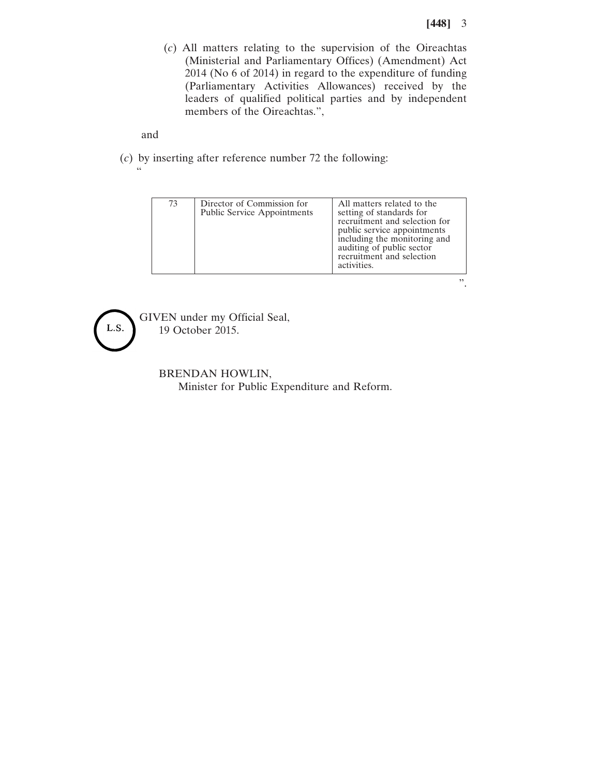".

(*c*) All matters relating to the supervision of the Oireachtas (Ministerial and Parliamentary Offices) (Amendment) Act 2014 (No 6 of 2014) in regard to the expenditure of funding (Parliamentary Activities Allowances) received by the leaders of qualified political parties and by independent members of the Oireachtas.",

and

"

(*c*) by inserting after reference number 72 the following:

| 73 | Director of Commission for<br><b>Public Service Appointments</b> | All matters related to the<br>setting of standards for<br>recruitment and selection for<br>public service appointments<br>including the monitoring and<br>auditing of public sector<br>recruitment and selection<br>activities. |
|----|------------------------------------------------------------------|---------------------------------------------------------------------------------------------------------------------------------------------------------------------------------------------------------------------------------|



GIVEN under my Official Seal, 19 October 2015.

> BRENDAN HOWLIN, Minister for Public Expenditure and Reform.